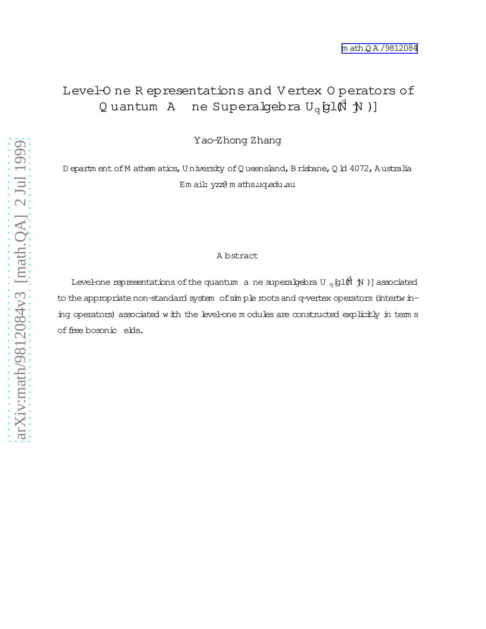## Level-O ne R epresentations and V ertex O perators of Quantum A ne Superalgebra  $U_q$ gl $\stackrel{\bullet}{\mathbb{Q}}$  )]

Yao-Zhong Zhang

D epartm ent of M athem atics, U niversity of Q ueensland, B risbane, Q ld 4072, A ustralia Em ail: yzz@ m aths.uq.edu.au

#### A bstract

Level-one representations of the quantum  $\,$  a ne superalgebra U  $_{\mathrm{q}}$  [g1(M  $\,$  JN )] associated to the appropriate non-standard system of simple roots and q-vertex operators (intertwining operators) associated with the level-one m odules are constructed explicitly in term s offree bosonic elds.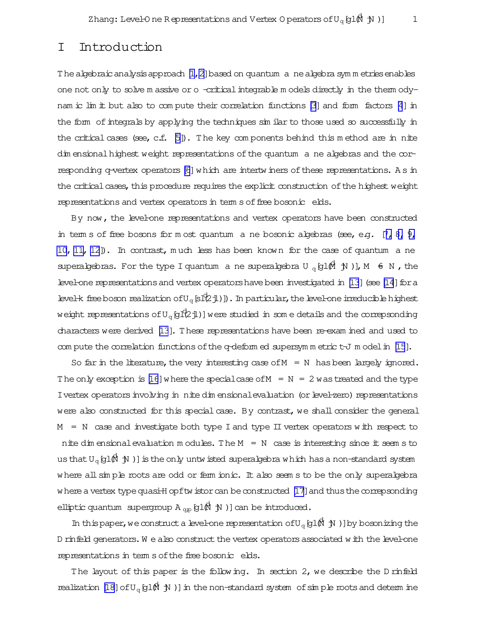### I Introduction

The algebraic analysis approach  $[1,2]$  based on quantum anealgebra symm etries enables one not only to solve m assive or o-criticalintegrable m odels directly in the therm ody-nam ic lim it but also to com pute their correlation functions [\[3\]](#page-15-0) and form factors [\[4](#page-15-0)] in the form of integrals by applying the techniques similar to those used so successfully in the critical cases (see, c.f.  $[5]$ ). The key components behind this method are in nite dim ensional highest weight representations of the quantum a ne algebras and the cor-responding q-vertex operators [\[6](#page-15-0)] which are intertwiners of these representations. As in the critical cases, this procedure requires the explicit construction of the highest weight representations and vertex operators in term s of free bosonic elds.

By now, the level-one representations and vertex operators have been constructed in term s of free bosons for m ost quantum a ne bosonic algebras (see, e.g.  $[7, 8, 9, 6, 9]$  $[7, 8, 9, 6, 9]$  $[7, 8, 9, 6, 9]$ [10, 11, 12](#page-15-0)]). In contrast, much less has been known for the case of quantum a ne superalgebras. For the type I quantum a ne superalgebra U  $_q$  [g1 $\stackrel{\frown}{\mathfrak{gl}}$   $\stackrel{\frown}{\mathfrak{gl}}$   $\stackrel{\frown}{\mathfrak{gl}}$   $\stackrel{\frown}{\mathfrak{gl}}$   $\stackrel{\frown}{\mathfrak{gl}}$   $\stackrel{\frown}{\mathfrak{gl}}$   $\stackrel{\frown}{\mathfrak{gl}}$   $\stackrel{\frown}{\mathfrak{gl}}$   $\stackrel{\frown}{\mathfrak{gl}}$   $\stack$ level-one representations and vertex operators have been investigated in [\[13](#page-15-0)] (see [\[14](#page-15-0)] for a level-k free boson realization of  $U_q$  [sl $^d\!\!2$ jl)]). In particular, the level-one irreducible highest weight representations of U $_{\rm q}$  [gl(2 jl)] were studied in som e details and the correpsonding characters were derived [\[13](#page-15-0)]. These representations have been re-exam ined and used to com pute the correlation functions of the q-deform ed supersymm etric  $t-J$  m odel in  $[15]$ .

So far in the literature, the very interesting case of  $M = N$  has been largely ignored. The only exception is [\[16](#page-15-0)] where the special case of  $M = N = 2$  was treated and the type I vertex operators involving in nite dim ensional evaluation (or level-zero) representations were also constructed for this special case. By contrast, we shall consider the general  $M = N$  case and investigate both type I and type II vertex operators with respect to nite dim ensional evaluation m odules. The  $M = N$  case is interesting since it seem s to us that U $_{\rm q}$  [g1 $\vec{$ R  $\,$  )] is the only untwisted superalgebra which has a non-standard system where all simple roots are odd or ferm ionic. It also seem s to be the only superalgebra where a vertex type quasi-H opftwistor can be constructed [\[17\]](#page-15-0) and thus the correpsonding elliptic quantum supergroup A  $_{\text{qp}}$  [g1( $\sharp$   $\,$  jV )] can be introduced.

In this paper, we construct a level-one representation of  $U_q$  [g1 $\overrightarrow{M}$  )] by bosonizing the D rinfeld generators. We also construct the vertex operators associated with the level-one representations in term s of the free bosonic elds.

The layout of this paper is the following. In section 2, we describe the D rinfeld realization [\[18\]](#page-15-0) of  $U_q$  (gl $\vec{M}$   $\uparrow$  )] in the non-standard system of simple roots and determ ine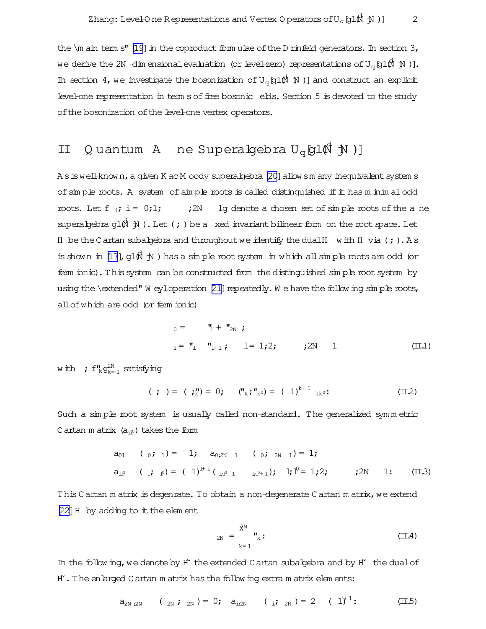<span id="page-2-0"></span>the  $\mathcal{L}$  ain term s" [\[19](#page-15-0)] in the coproduct form ulae of the D rinfeld generators. In section 3, we derive the 2N -dim ensionalevaluation (or level-zero) representations ofUq[ <sup>d</sup> gl(N jN )]. In section 4, we investigate the bosonization of  $U_q$  (gl $\hat{M}$  )] and construct an explicit level-one representation in term s of free bosonic elds. Section 5 is devoted to the study ofthe bosonization ofthe level-one vertex operators.

# II Q uantum A ne Superalgebra Uq[ d gl(N jN )]

A s is well-known, a given K ac-M oody superalgebra [\[20\]](#page-16-0) allowsm any inequivalent system s of sim ple roots. A system of sim ple roots is called distinguished if it has m inim alodd roots. Let f  $_{i}$ ; i = 0;1;  $_{i}$  : 2N 1g denote a chosen set of simple roots of the ane superalgebra gl $(\mathbb{N} \setminus \mathbb{N})$ . Let (; ) be a xed invariant bilinear form on the root space. Let H be the Cartan subalgebra and throughout we identify the dual H with H via (; ). As is shown in [\[17](#page-15-0)], gl $(\mathbb{N} \mathcal{N})$  has a simple root system in which all simple roots are odd (or ferm ionic).Thissystem can be constructed from the distinguished sim ple rootsystem by using the \extended" W eyloperation  $[21]$  repeatedly. W e have the following simple roots, all of which are odd (or ferm ionic)

<sup>0</sup> = "<sup>1</sup> + "<sup>2</sup><sup>N</sup> ; <sup>l</sup> = "<sup>l</sup> "l+ 1 ; l= 1;2; ;2N 1 (II.1)

with  $\;$  ;  $\mathsf{f}^\mathsf{H}_\mathsf{k}$ g $_\mathsf{k=1}^\mathsf{2N}$  satisfying

$$
(\; ; \; ) = \; (\; ; \; \mathbf{I}_{k}^{\mathsf{m}}) = 0; \quad (\mathbf{I}_{k}; \mathbf{I}_{k^{0}}^{\mathsf{m}}) = (\; 1)^{k+1} \; {}_{kk^{0}}: \quad (\mathbf{I} \mathbf{I} \mathbf{2})
$$

Such a sim ple root system is usually called non-standard. The generalized sym m etric Cartan m atrix  $(a_{ii^0})$  takes the form

$$
a_{01} \t (0; 1) = 1; a_{0;2N-1} \t (0; 2N-1) = 1;
$$
  
\n
$$
a_{11^{0}} \t (1; 1^{0}) = (1)^{1+1} (1; 1^{0} 1 1; 1^{10} 1); 1; 1^{0} = 1; 2; ; 2N 1; (II,3)
$$

This Cartan m atrix is degenrate. To obtain a non-degenerate Cartan m atrix, we extend  $[22]$  $[22]$  H by adding to it the elem ent

$$
_{2N} = \sum_{k=1}^{\mathfrak{K}^N} \mathbf{w}_k:
$$
 (II.4)

In the following, we denote by H $\pm$  the extended Cartan subalgebra and by H $\pm$  the dual of H~.The enlarged Cartan m atrix hasthe following extra m atrix elem ents:

$$
a_{2N,2N} \t (2N ; 2N) = 0; a_{i,2N} \t (i ; 2N) = 2 (1i + 1 : (II.5)
$$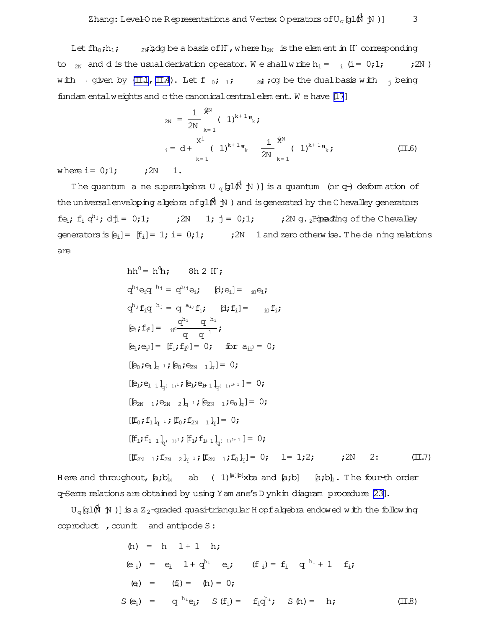Let  $fh_0; h_1; \qquad$  2N;  $hdg$  be a basis of H°, where  $h_{2N}$  is the elem ent in H° corresponding to <sub>2N</sub> and d is the usual derivation operator. We shall write  $h_i = i$  (i= 0;1; *i* 2N) with  $\frac{1}{1}$  given by [\(II.1](#page-2-0), [II.4\)](#page-2-0). Let f  $\frac{1}{0}$ ; 1;  $\frac{1}{2}$  i; cg be the dual basis with  $\frac{1}{1}$  being fundam entalweights and cthe canonical centralelem ent. We have [\[17](#page-15-0)]

$$
{}_{2N} = \frac{1}{2N} \sum_{k=1}^{\hat{X}^N} (-1)^{k+1} \mathbf{v}_k \mathbf{j}
$$
  
\n
$$
{}_{i} = d + \sum_{k=1}^{X^1} (-1)^{k+1} \mathbf{v}_k \frac{1}{2N} \sum_{k=1}^{\hat{X}^N} (-1)^{k+1} \mathbf{v}_k \mathbf{j}
$$
 (II.6)

where  $i = 0;1;$   $i = 2N$  1.

The quantum a ne superalgebra U  $_{\mathrm{q}}$  (g1 $\stackrel{\star}{\mathbb{M}}$  )] is a quantum (or q-) deform ation of the universal enveloping algebra of gl $(\stackrel{\dagger}{N} \stackrel{\dagger}{N} )$  and is generated by the Chevalley generators fei; f<sup>i</sup> q <sup>h</sup>j; dji= 0;1; ;2N 1; j = 0;1; ;2N g. The <sup>2</sup>-grading ofthe Chevalley Z generators is  $[e_i] = [f_i] = 1; i = 0;1;$   $i = 2N$  1 and zero otherwise. The de ning relations are

$$
hh^{0} = h^{0}h; \t 8h 2 H';\nq^{h_{j}}e_{i}q^{h_{j}} = q^{a_{ij}}e_{i}; \t [d; e_{i}] = {}_{i0}e_{i};\nq^{h_{j}}f_{i}q^{h_{j}} = q^{a_{ij}}f_{i}; \t [d; f_{i}] = {}_{i0}f_{i};\n[e_{i}; f_{i}^{0}] = {}_{i0}^{i0} \frac{q^{h_{i}} q^{h_{i}}}{q q^{1}};\n[e_{i}; e_{i}^{0}] = [f_{i}; f_{i}^{0}] = 0; \t for a_{i1}^{0} = 0;\n[E_{i}; e_{i}^{1} l_{i} :; [e_{i}; e_{2N} l_{i}] = 0;\n[E_{i}; e_{1} l_{i}^{(1)} :; [e_{i}; e_{i+1} l_{i}^{(1)} : h^{1}] = 0;\n[E_{2N} l^{2} e_{N} l_{i}^{1} :; [e_{2N} l^{2} e_{N} l^{2} e_{N}] = 0;\n[[f_{0}; f_{1} l_{i} :; [f_{0}; f_{2N} l_{i}] = 0;\n[[f_{i}; f_{1} l_{i}^{(1)} :; [f_{i}; f_{i+1} l_{i}^{(1)} : h^{1}] = 0;\n[[f_{2N} l^{2} e_{N} l_{i} : [f_{2N} l^{2} e_{N} l^{2}] = 0; \t 1 = 1;2; \t 2N 2; \t (II,7)
$$

H ere and throughout,  $[a; b]_x$  ab ( 1)<sup>[a][b]</sup>xba and [a;b] [a;b]<sub>1</sub>. The four-th order q-Serre relationsare obtained by using Yam ane's D ynkin diagram procedure [\[23\]](#page-16-0).

 ${\tt U}_{\tt q}$ [gl $\vec{\tt M}$  )] is a Z $_2$ -graded quasi-triangular H opfalgebra endowed with the following  $c$ oproduct,  $c$ ounit and antipode S:

(h) = h 1+ 1 h; (e <sup>i</sup>) = e<sup>i</sup> 1+ q <sup>h</sup><sup>i</sup> ei; (f <sup>i</sup>)= f<sup>i</sup> q <sup>h</sup><sup>i</sup> + 1 fi; (ei) = (fi)= (h)= 0; S(ei) = q <sup>h</sup>iei; S(fi)= fiq <sup>h</sup>i; S(h)= h; (II.8)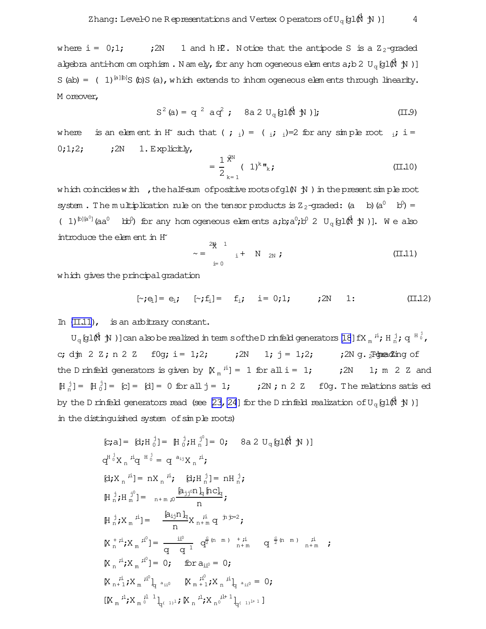<span id="page-4-0"></span>where  $i = 0;1;$  $:2N$ 1 and h H2. Notice that the antipode S is a  $Z_2$ -graded algebra anti-hom om orphism. Namely, for any hom ogeneous elements a; b 2  $U_{\alpha}$  [g1 $\beta$ l $\gamma$ l)] S (ab) =  $(1)^{[a][b]}S$  (b)S (a), which extends to inhomogeneous elements through linearity. M oreover,

$$
S^{2}(a) = q^{2} a q^{2}; \quad 8a 2 U_{q}[g1(\hat{N} N)];
$$
 (II.9)

is an element in H<sup>\*</sup> such that ( ; <sub>i</sub>) = ( <sub>i</sub>; <sub>i</sub>)=2 for any simple root <sub>i</sub>; i = where  $0;1;2;$  $;2N \quad 1$ . Explicitly,

$$
= \frac{1}{2} \frac{\dot{x}^{N}}{k+1} (1)^{k} \mathbf{r}_{k} ; \qquad (II.10)
$$

which coincides with , the half-sum of positive roots of g1 $(N, N)$  in the present simple root system. The multiplication rule on the tensor products is  $Z_2$ -graded: (a b) (a<sup>0</sup> b<sup>0</sup>) = (1)<sup> $\mathbb{D}[\mathbb{a}^0]$ </sup> (aa<sup>0</sup> bb<sup>0</sup>) for any hom ogeneous elements a;b;a<sup>0</sup>;b<sup>0</sup> 2 U<sub>q</sub> [g1 $\mathbb{A}$  j)]. We also introduce the element in H

$$
\sim = \sum_{i=0}^{2N} \, i + N_{2N} \, j \tag{II.11}
$$

which gives the principal gradation

$$
[\sim; e_i] = e_i; \quad [\sim; f_i] = f_i; \quad i = 0; 1; \quad j2N \quad 1: \quad (\text{II}.12)
$$

In  $(II.11)$ , is an arbitrary constant.

 $U_q$  [g1 $\stackrel{\frown}{M}$   $\stackrel{\frown}{N}$  )] can also be realized in term s of the D rinfeld generators [18] fX  $_m$  <sup>ii</sup>; H  $_m^j$ ; q  $^{H}$   $_o^j$ , ;2N 1;  $j = 1;2;$  ;2N g. Figure 2 ing of c; djn 2 Z; n 2 Z f0g; i = 1;2; the D rinfield generators is given by  $\left[\mathbb{X}_{m}^{i}\right] = 1$  for all  $i = 1$ ; ; 2N 1; m 2 Z and  $[H_n^j] = [H_0^j] = [c] = [d] = 0$  for all  $j = 1$ ; ; 2N; n 2 Z f0g. The relations satis ed by the D rinfield generators read (see [23, 24] for the D rinfield realization of  $U_q$  [g1 $\mathbb{R}^d$  jV)] in the distinguished system of simple roots)

$$
[c;a] = [d; H_0^j] = [H_0^j; H_n^{j^0}] = 0; \quad 8a 2 U_q [g] (\hbar \text{ N})
$$
\n
$$
d^{H_0^j} X_n^{i^j} q^{H_0^j} = q^{a_{ij}} X_n^{i^j};
$$
\n
$$
[d; X_n^{i^j}] = n X_n^{i^j}; \quad [d; H_n^j] = n H_n^j;
$$
\n
$$
[H_n^j; H_m^{j^0}] = n + m_j 0 \frac{[a_{jj^0} n]_q [n c]_q}{n};
$$
\n
$$
[H_n^j; X_m^{i^j}] = \frac{[a_{ij} n]_q}{n} X_{n+m}^{i^i} q^{j^i} = 0;
$$
\n
$$
[X_n^{i^i}; X_m^{i^0}] = 0; \quad \text{for } a_{ii^0} = 0;
$$
\n
$$
[X_{n+1}^{i^i}; X_m^{i^0}]_q^{a_{ii^0}} = [X_{n+1}^{i^0}; X_n^{i^1}]_q^{a_{ii^0}} = 0;
$$
\n
$$
[X_{n+1}^{i^1}; X_m^{i^0}]_q^{a_{ii^0}} = [X_m^{i^0}; X_n^{i^1}]_q^{a_{ii^0}} = 0;
$$
\n
$$
[X_m^{i^1}; X_m^{i^1}]_q^{a_{ii^0}} = [X_m^{i^0}; X_n^{i^1}]_q^{a_{ii^0}} = 0;
$$
\n
$$
[X_m^{i^1}; X_m^{i^1}]_q^{a_{ii^0}} = [X_m^{i^1}; X_n^{i^1}]_q^{a_{i^{10}}}]_q^{a_{i^{10}}}
$$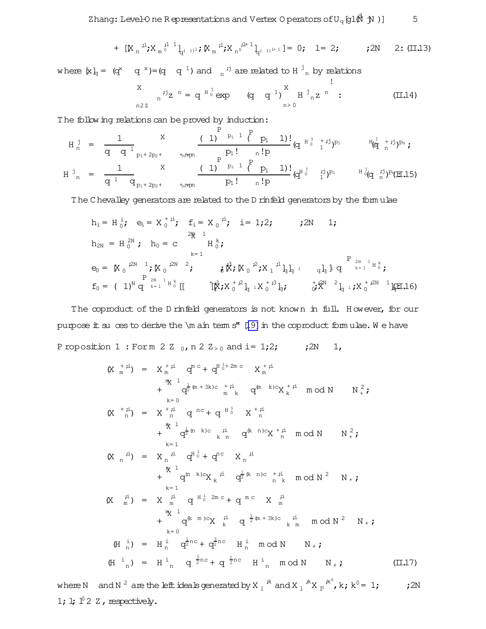+ 
$$
[\mathbb{K}_n \stackrel{i!}{\rightarrow} \mathbb{K}_m \stackrel{i!}{\circ} \stackrel{1}{-1}]_{q^{(-1)^1}}; \mathbb{K}_m \stackrel{i!}{\rightarrow} \mathbb{K}_n \stackrel{i!}{\circ} \stackrel{1}{-1} \stackrel{1}{-1} = 0; \quad l = 2; \quad j \quad 2N \quad 2 \colon (\mathbb{II}.13)
$$

<span id="page-5-0"></span>where  $[x]_q = (q^x - q^{-x}) = (q - q^{-1})$  and  $\frac{1}{n}$  is are related to H  $\frac{1}{n}$  by relations

$$
\begin{array}{ccc}\nX & \vdots \\
n^{2}z & \n\end{array} = q^{H_0^j} \exp \left(q^{1} q^{1}\right) \left(\begin{array}{ccc}\nX & \vdots \\
H_{n}^j z^n & \n\end{array}\right) \tag{II.14}
$$

The following relations can be proved by induction:

$$
H_{n}^{j} = \frac{1}{q_{1}^{j}} \sum_{p_{1}+2p_{2}+1}^{X} \frac{(1)^{p_{1}^{j}} p_{1}^{j} (p_{1}^{j} - 1)!}{p_{1}^{j}} (q_{1}^{H_{0}^{j}} + i^{j})^{p_{1}} \frac{H_{0}^{j} + i^{j})^{p_{n}}}{(q_{1}^{j} - 1)^{j}};
$$
\n
$$
H_{n}^{j} = \frac{1}{q_{1}^{j}} \sum_{p_{1}+2p_{2}+1}^{X} \frac{(1)^{p_{1}^{j}} p_{1}^{j} (p_{1}^{j} - 1)!}{p_{1}^{j}} (q_{1}^{H_{0}^{j}} - i^{j})^{p_{1}} \frac{H_{0}^{j} (q_{1}^{j})^{j}}{i^{j}})^{p_{1}} (H.15)
$$

The Chevalley generators are related to the D rinfeld generators by the form ulae

$$
h_{i} = H_{0}^{i}; \quad e_{i} = X_{0}^{*i}; \quad f_{i} = X_{0}^{i}; \quad i = 1,2; \quad \text{(2N 1)};
$$
\n
$$
h_{2N} = H_{0}^{2N}; \quad h_{0} = C \qquad H_{0}^{k};
$$
\n
$$
e_{0} = [X_{0}^{2N}]^{1}; [X_{0}^{2N}]^{2}; \quad i \neq i \text{ for } i \neq j \text{ for } i \neq j \text{ for } i \neq j \text{ for } i = 1,2,3, \ldots
$$
\n
$$
f_{0} = (1)^{N} q^{2N-1} H_{0}^{k} [[T_{0}^{k}; X_{0}^{k}]^{2}]_{q}^{1} X_{0}^{k} G_{q}^{k} Y_{0}^{k} Y_{0}^{k} Y_{0}^{k} Y_{1}^{k} Y_{0}^{k} Y_{1}^{k} Y_{0}^{k} Y_{1}^{k} Y_{1}^{k} Y_{0}^{k} Y_{1}^{k} Y_{1}^{k} Y_{0}^{k} Y_{1}^{k} Y_{1}^{k} Y_{0}^{k} Y_{1}^{k} Y_{1}^{k} Y_{0}^{k} Y_{1}^{k} Y_{1}^{k} Y_{0}^{k} Y_{1}^{k} Y_{1}^{k} Y_{0}^{k} Y_{1}^{k} Y_{1}^{k} Y_{0}^{k} Y_{1}^{k} Y_{1}^{k} Y_{0}^{k} Y_{1}^{k} Y_{1}^{k} Y_{0}^{k} Y_{1}^{k} Y_{1}^{k} Y_{0}^{k} Y_{1}^{k} Y_{1}^{k} Y_{0}^{k} Y_{1}^{k} Y_{1}^{k} Y_{0}^{k} Y_{1}^{k} Y_{1}^{k} Y_{0}^{k} Y_{1}^{k} Y_{1}^{k} Y_{0}^{k} Y_{1}^{k} Y_{1}^{k} Y_{0}^{k} Y_{1}^{k} Y_{0}^{k} Y_{1}^{k} Y_{1}^{k} Y_{0}^{k} Y_{1}^{k} Y_{1}^{k} Y_{0}^{k} Y_{1}^{k} Y_{0}^{k} Y_{1}^{k} Y_{1}^{k} Y_{0}^{k} Y_{1}^{k} Y_{0}^{k} Y_{1}^{k} Y_{0}^{k} Y_{1}^{k} Y
$$

The coproduct of the D rinfeld generators is not known in full. However, for our purpose  $\pm$  suces to derive the \m ain term s" [\[19\]](#page-15-0) in the coproduct form ulae. We have P roposition 1 : Form 2 Z  $_0$ , n 2 Z<sub>>0</sub> and i= 1;2;  $\blacksquare$ ;2N 1,

$$
(X_{m}^{+},i) = X_{m}^{+},i i_{m}^{m}C + q_{m}^{H}i_{m}^{+},i i_{m}^{m}C = X_{m}^{+},i i_{m}^{m}C + q_{m}^{H}i_{m}^{+},i i_{m}^{m}C + q_{m}^{H}i_{m}^{+},i i_{m}^{m}C + q_{m}^{H}i_{m}^{+},i i_{m}^{m}C + q_{m}^{H}i_{m}^{+},i i_{m}^{m}C + q_{m}^{H}i_{m}^{+},i i_{m}^{m}C + q_{m}^{H}i_{m}^{+},i i_{m}^{m}C + q_{m}^{H}i_{m}^{+},i i_{m}^{m}C + q_{m}^{H}i_{m}^{+},i i_{m}^{m}C + q_{m}^{H}i_{m}^{+},i i_{m}^{m}C + q_{m}^{H}i_{m}^{+},i i_{m}^{m}C + q_{m}^{H}i_{m}^{+},i i_{m}^{m}C + q_{m}^{H}i_{m}^{+},i_{m}^{m}C + q_{m}^{H}i_{m}^{+},i_{m}^{m}C + q_{m}^{H}i_{m}^{+},i_{m}^{m}C + q_{m}^{H}i_{m}^{+},i_{m}^{m}C + q_{m}^{H}i_{m}^{+},i_{m}^{m}C + q_{m}^{H}i_{m}^{+},i_{m}^{m}C + q_{m}^{H}i_{m}^{+},i_{m}^{m}C + q_{m}^{H}i_{m}^{+},i_{m}^{m}C + q_{m}^{H}i_{m}^{+},i_{m}^{m}C + q_{m}^{H}i_{m}^{+},i_{m}^{m}C + q_{m}^{H}i_{m}^{+},i_{m}^{m}C + q_{m}^{H}i_{m}^{+},i_{m}^{m}C + q_{m}^{H}i_{m}^{+},i_{m}^{m}C + q_{m}^{H}i_{m}^{+},i_{m}^{m}C + q_{m}^{H}i_{m}^{+},i_{m}^{m}C + q_{m}^{H}i_{m}^{+},i_{m}^{m}C + q_{m}^{H}i_{m}^{+},i_{m}^{m}C + q_{m}^{H}i_{m}^{+},i_{m}^{m}C + q_{m}^{H}i_{m}^{+
$$

where N and N  $^2$  are the left ideals generated by X  $_1$   $^k$  and X  $_1$   $^k$  X  $_2$   $^k$   $^0$ , k; k<sup>0</sup> = 1; ; ; 2N 1; l;  $l^0$  2 Z, respectively.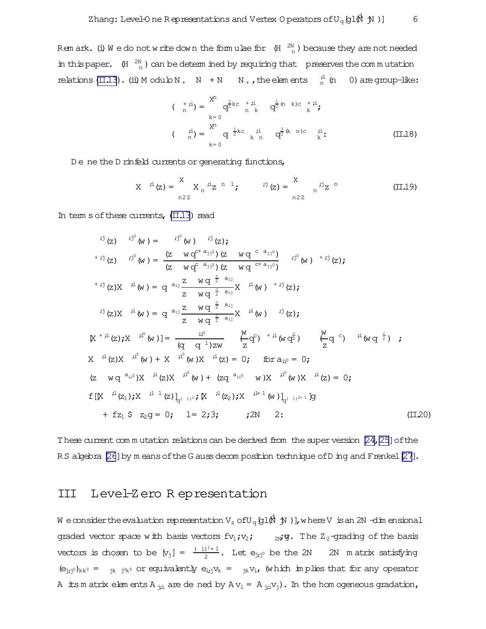<span id="page-6-0"></span>Rem ark. (i) We do not write down the formulae for  $(H \nvert^{2N}_{n})$  because they are not needed in this paper.  $(H \nvert \frac{2N}{n})$  can be determined by requiring that preserves the commutation relations (II.13). (ii) M odulo  $N_+$  N + N  $N_+$ , the elements  $\frac{i}{n}$  (n 0) are group-like:

$$
\begin{array}{ll}\n\text{(} & +\, \dot{r}\text{i}) = \frac{X^n}{n} \quad \frac{3}{n} k \quad \text{(} & +\, \dot{r}\text{i} \\
 & k = 0 \\
\text{(} & \dot{n}\text{)} = \frac{X^n}{n} \quad \text{(} & \frac{1}{2} k \quad \dot{r}\text{i} \\
 & k = 0\n\end{array}
$$
\n
$$
\text{(} & \dot{r}\text{i}) = \frac{X^n}{n} \quad \text{(} & \frac{1}{2} k \quad \dot{r}\text{i} \quad \text{(} & \frac{3}{2} (k - n) \quad \dot{r}\text{i} \quad \text{(} & \frac{1}{2} \quad \text{(} & \frac{1}{2} \quad \text{(} & \frac{1}{2} \quad \text{(} & \frac{1}{2} \quad \text{(} & \frac{1}{2} \quad \text{(} & \frac{1}{2} \quad \text{(} & \frac{1}{2} \quad \text{(} & \frac{1}{2} \quad \text{(} & \frac{1}{2} \quad \text{(} & \frac{1}{2} \quad \text{(} & \frac{1}{2} \quad \text{(} & \frac{1}{2} \quad \text{(} & \frac{1}{2} \quad \text{(} & \frac{1}{2} \quad \text{(} & \frac{1}{2} \quad \text{(} & \frac{1}{2} \quad \text{(} & \frac{1}{2} \quad \text{(} & \frac{1}{2} \quad \text{(} & \frac{1}{2} \quad \text{(} & \frac{1}{2} \quad \text{(} & \frac{1}{2} \quad \text{(} & \frac{1}{2} \quad \text{(} & \frac{1}{2} \quad \text{(} & \frac{1}{2} \quad \text{(} & \frac{1}{2} \quad \text{(} & \frac{1}{2} \quad \text{(} & \frac{1}{2} \quad \text{(} & \frac{1}{2} \quad \text{(} & \frac{1}{2} \quad \text{(} & \frac{1}{2} \quad \text{(} & \frac{1}{2} \quad \text{(} & \frac{1}{2} \quad \text{(} & \frac{1}{2} \quad \text
$$

De ne the D rinfeld currents or generating functions,

$$
X
$$
  $i^i(z) = \sum_{n2z}^{X} X_n i^i z^{n-1}$ ;  $i^j(z) = \sum_{n2z}^{x} i^j z^{n}$  (II.19)

In term s of these currents,  $(II,13)$  read

$$
i^{j}(z) \quad i^{j^{0}}(w) = i^{j^{0}}(w) \quad i^{j}(z);
$$
\n
$$
+i^{j}(z) \quad i^{j^{0}}(w) = \frac{(z - wq^{r+a_{jj^{0}}})(z - wq^{-c-a_{jj^{0}}})}{(z - wq^{-a_{jj^{0}}})(z - wq^{-c+a_{jj^{0}}})} \quad i^{j^{0}}(w) +i^{j}(z);
$$
\n
$$
+i^{j}(z)X \quad i^{i}(w) = q^{a_{i,j}} \frac{z - wq^{-\frac{c}{2} - a_{i,j}}}{z - wq^{-\frac{c}{2} - a_{i,j}}X} \quad i^{i}(w) +i^{j}(z);
$$
\n
$$
i^{j}(z)X \quad i^{i}(w) = q^{a_{i,j}} \frac{z - wq^{-\frac{c}{2} - a_{i,j}}}{z - wq^{-\frac{c}{2} - a_{i,j}}X} \quad i^{i}(w) \quad i^{j}(z);
$$
\n
$$
[X^{+}i^{i}(z);X \quad i^{i^{0}}(w)] = \frac{i^{i^{0}}}{(q - q^{-1})zw} \quad \left(\frac{w}{z}q^{c}\right) \quad +i^{i}(wq^{\frac{c}{2}}) \quad \left(\frac{w}{z}q^{c}\right) \quad i^{i}(wq^{-\frac{c}{2}});
$$
\n
$$
X^{i^{i}}(z)X \quad i^{i^{0}}(w) + X \quad i^{i^{0}}(w)X \quad i^{i}(z) = 0; \quad \text{for } a_{i i^{0}} = 0;
$$
\n
$$
(z - wq^{-a_{i i^{0}}})X \quad i^{i}(z)X \quad i^{i^{0}}(w) + (zq^{-a_{i i^{0}}} - w)X \quad i^{i^{0}}(w)X \quad i^{i}(z) = 0;
$$
\n
$$
f[[X^{-1}(z_{1});X^{-1-1}(z)]_{q^{(-1)^{1}}}; [X^{-1}(z_{2});X^{-1+1}(w)]_{q^{(-1)^{1+1}}}g]
$$
\n
$$
+ fz_{1} \cdot z_{2}g = 0; \quad 1 = 2; 3; \quad j \ge 1
$$
\n
$$
(11.20)
$$

These current commutation relations can be derived from the super version [24, 25] of the RS algebra [26] by m eans of the G auss decomposition technique of D ing and F renkel [27].

#### Level-Zero Representation III

We consider the evaluation representation  $V_z$  of  $U_q$  [g1 $\stackrel{\triangle}{M}$  )], where V is an 2N -dim ensional graded vector space with basis vectors  $fv_1$ ;  $v_2$ ;  $v_3$ ; The Z<sub>2</sub>-grading of the basis vectors is chosen to be  $[v_j] = \frac{(-1)^{j}+1}{2}$ . Let  $e_{j_j j^0}$  be the 2N 2N m atrix satisfying  $(\mathsf{e}_{\mathtt{j},\mathtt{j}^0})_{\mathtt{k}\mathtt{k}^0} \;=\; \mathsf{y}_{\mathtt{k}} \;\; \mathtt{j}^{\mathtt{0}}{}_{\mathtt{k}^0} \text{ or equivalently } \;\mathsf{e}_{\mathtt{i},\mathtt{j}} \mathtt{v}_{\mathtt{k}} \;=\; \mathsf{y}_{\mathtt{k}} \mathtt{v}_{\mathtt{i}} \text{, } \text{ (which in plies that for any operator) }$ A its m atrix elements A  $_{12}$  are de ned by A  $v_1 = A_{12}v_1$ . In the hom ogeneous gradation,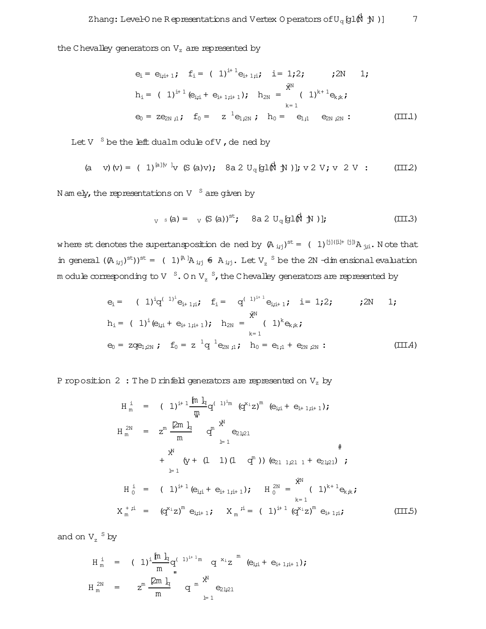the C hevalley generators on  $V_z$  are represented by

$$
e_{i} = e_{i,i+1} \text{ ; } f_{i} = (1)^{i+1} e_{i+1,i} \text{ ; } i = 1;2 \text{ ; } j2N \text{ ; } 1 \text{ ;}
$$
\n
$$
h_{i} = (1)^{i+1} (e_{i,i} + e_{i+1,i+1}) \text{ ; } h_{2N} = (1)^{k+1} e_{k,k} \text{ ;}
$$
\n
$$
e_{0} = z e_{2N,i} \text{ ; } f_{0} = z^{1} e_{1,2N} \text{ ; } h_{0} = e_{1,1} e_{2N,i} \text{ ; }
$$
\n
$$
(III.1)
$$

Let  $V^{-S}$  be the left dualm odule of  $V$ , dened by

(a v) (v) = ( 1)<sup>[a][v]</sup>v (S (a)v); 8a 2 U<sub>q</sub> [g1(
$$
\hat{M}
$$
 N )]; v 2 V; v 2 V : (III.2)

N am ely, the representations on V  $S$  are given by

$$
V_{V} \circ (a) = V_{V} (S (a))^{st}; \quad 8a 2 U_{q} [g] (M N)]; \tag{III.3}
$$

where st denotes the supertansposition de ned by  $(A_{i,j})^{st} = (1)^{[j]([i]+[j])}A_{i,j}:$  Note that in general  $((A_{ij})^{st})^{st} = (1)^{[A]}A_{ijj} \in A_{ijj}$ . Let  $V_z$  <sup>S</sup> be the 2N -dim ensional evaluation m odule corresponding to V  $S$ . On V<sub>z</sub>  $S$ , the C hevalley generators are represented by

$$
e_{i} = (1)^{i}q^{(-1)^{i}}e_{i+1;i}; f_{i} = q^{(-1)^{i+1}}e_{i;i+1}; i = 1;2; \t ; 2N 1;
$$
  
\n
$$
h_{i} = (1)^{i}(e_{i;i} + e_{i+1;i+1}); h_{2N} = (1)^{k}e_{k;k};
$$
  
\n
$$
e_{0} = zqe_{1;2N}; f_{0} = z^{1}q^{1}e_{2N;i}; h_{0} = e_{1;i} + e_{2N;2N}:
$$
 (III.4)

P roposition 2: The D rinfeld generators are represented on  $V_z$  by

$$
H_{m}^{i} = (1)^{i+1} \frac{m}{m} q^{(1)i_{m}} (q^{x_{i}} z)^{m} (e_{i,i} + e_{i+1,i+1});
$$
  
\n
$$
H_{m}^{2N} = z^{m} \frac{2m}{m} \frac{1}{q} q^{n} e_{21,21}
$$
  
\n+  $\frac{x^{N}}{(Y + (1 \ 1) (1 \ q^{m}))} (e_{21 \ 1,21 \ 1} + e_{21,21})$   
\n+  $\frac{x^{N}}{(Y + (1 \ 1) (1 \ q^{m}))} (e_{21 \ 1,21 \ 1} + e_{21,21})$   
\n+  $\frac{x^{N}}{(Y + (1 \ 1) (1 \ q^{m}))} (e_{21 \ 1,21 \ 1} + e_{21,21})$   
\n+  $\frac{x^{N}}{(Y + (1 \ 1) (1 \ q^{m}))} (e_{21 \ 1,21 \ 1} + e_{21,21})$   
\n+  $\frac{x^{N}}{(Y + (1 \ 1) (1 \ q^{m}))} (e_{21 \ 1,21 \ 1} + e_{21,21})$   
\n+  $\frac{x^{N}}{(Y + (1 \ 1) (1 \ q^{m}))} (e_{21 \ 1,21 \ 1} + e_{21,21})$   
\n+  $\frac{x^{N}}{(Y + (1 \ 1) (1 \ q^{m}))} (e_{21 \ 1,21 \ 1} + e_{21,21})$   
\n+  $\frac{x^{N}}{(Y + (1 \ 1) (1 \ q^{m}))} (e_{21 \ 1,21 \ 1} + e_{21,21})$   
\n+  $\frac{x^{N}}{(Y + (1 \ 1) (1 \ q^{m}))} (e_{21 \ 1,21 \ 1} + e_{21,21})$   
\n+  $\frac{x^{N}}{(Y + (1 \ 1) (1 \ q^{m}))} (e_{21 \ 1,21 \ 1} + e_{21,21})$   
\n+  $\frac{x^{N}}{(Y + (1 \ 1) (1 \ q^{m}))} (e_{21 \ 1,21 \ 1} + e_{21,21})$   
\n+  $\frac{x^{N}}{(Y + (1 \ 1) (1 \ q^{m}))} ($ 

and on  $V_z$ <sup>S</sup> by

$$
H_m^i = (1)^i \frac{\ln h_q}{m} q^{(-1)^{i+1}m} q^{x_i} z^m (e_{i,i} + e_{i+1,i+1});
$$
  

$$
H_m^{2N} = z^m \frac{\ln h_q}{m} q^m \sum_{l=1}^{X^N} e_{2l,2l}
$$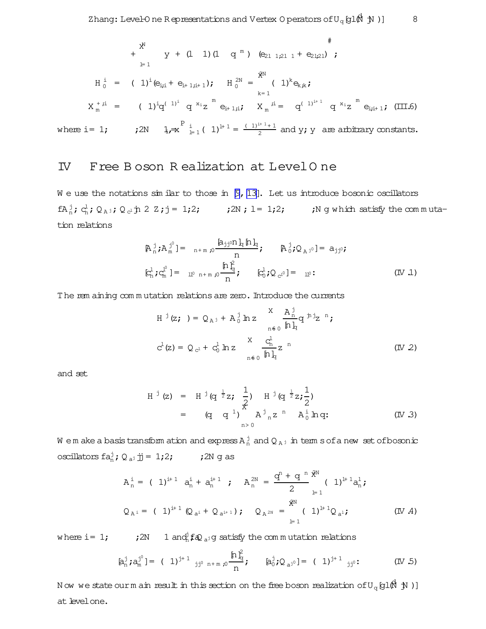$$
* \frac{x^N}{N} \quad y + (1 \quad 1) (1 \quad q^m) \quad (e_{21 \quad 1,21 \quad 1} + e_{21,21}) \; ;
$$
  
\n
$$
H_0^i = (1)^i (e_{i,i} + e_{i+1,i+1}) ; \quad H_0^{2N} = \frac{x^N}{N} (1)^k e_{k,k} ;
$$
  
\n
$$
X_m^{+i,i} = (1)^i q^{(-1)^i} q^{x_i} z^m e_{i+1,i}; \quad X_m^{i,i} = q^{(-1)^{i+1}} q^{x_i} z^m e_{i,i+1}; \quad (III.6)
$$

where i = 1;  $i^{2N}$   $i^{2N}$   $i^{2N}$   $i^{2N}$   $i^{2N}$   $i^{2N}$   $i^{2N}$   $i^{2N}$   $i^{2N}$   $i^{2N}$   $i^{2N}$   $i^{2N}$   $i^{2N}$   $i^{2N}$   $i^{2N}$   $i^{2N}$   $i^{2N}$   $i^{2N}$   $i^{2N}$   $i^{2N}$   $i^{2N}$   $i^{2N}$   $i^{2N}$   $i^{2N}$   $i^{2N}$   $i^{2N}$   $\frac{2^{n+1}}{2}$  and y; y are arbitrary constants.

### IV Free B oson R ealization at LevelO ne

W e use the notations similar to those in  $[9, 13]$  $[9, 13]$ . Let us introduce bosonic oscillators  $fA_n^j$ ;  $c_n^l$ ;  $Q_{A_j}$ ;  $Q_{c_j}$ j  $2 \tZ$ ;  $j = 1$ ;2; <br>;2N;  $l = 1$ ;2; <br>;N g which satisfy the commutation relations

$$
\mathbb{A}_{n}^{\mathbf{j}} \mathbf{i} \mathbb{A}_{m}^{\mathbf{j}^{0}} = \mathbb{I}_{n+m,0} \frac{\mathbb{A}_{jj} \circ n \mathbf{1}_{q} \mathbb{I}_{n}}{n} \mathbf{j} \qquad \mathbb{A}_{0}^{\mathbf{j}} \mathbf{i} \mathbb{Q}_{A}^{\mathbf{j}^{0}} = a_{jj^{0}} \mathbf{j} \qquad (IV \ 1)
$$
\n
$$
\mathbb{E}_{n}^{\mathbf{l}} \mathbf{i} \mathbb{G}_{m}^{\mathbf{l}} = \mathbb{I}_{0}^{\mathbf{0}} \mathbb{I}_{n+m,0} \frac{\mathbb{I}_{n}^{\mathbf{l}^{2}}}{n} \mathbf{j} \qquad \mathbb{E}_{0}^{\mathbf{l}} \mathbf{i} \mathbb{Q}_{c^{1^{0}}} = \mathbb{I}_{0}^{\mathbf{0}} \mathbf{i}
$$

The rem aining commutation relations are zero. Introduce the currents

$$
H^{j}(z; ) = Q_{A^{j}} + A_{0}^{j} h z \sum_{n \in 0}^{X} \frac{A_{n}^{j}}{h}_{q} q^{j} z^{n};
$$
  

$$
C^{l}(z) = Q_{C^{l}} + C_{0}^{l} h z \sum_{n \in 0}^{X} \frac{C_{n}^{l}}{h}_{q} z^{n}
$$
(IV 2)

and set

$$
H^{j}(z) = H^{j}(q^{\frac{1}{2}}z; \frac{1}{2}) H^{j}(q^{\frac{1}{2}}z; \frac{1}{2})
$$
  
=  $(q \t q^{1}) \t A^{j} {}_{n}z^{n} A^{j} {}_{n}q$ ;  
 $(IV.3)$ 

We make a basistransform ation and express  $\texttt{A}^{\,\text{j}}_{\,\text{n}}$  and  $\texttt{Q}_{\,\text{A}}$  j in term sofa new setofbosonic oscillatorsfa j <sup>n</sup>; Q <sup>a</sup><sup>j</sup>jj= 1;2; ;2N g as

$$
A_{n}^{i} = (1)^{i+1} a_{n}^{i} + a_{n}^{i+1} ; A_{n}^{2N} = \frac{q^{n} + q^{n} \hat{x}^{N}}{2} (1)^{i+1} a_{n}^{i};
$$
  
\n
$$
Q_{A^{i}} = (1)^{i+1} Q_{a^{i}} + Q_{a^{i+1}}); Q_{A^{2N}} = \begin{pmatrix} \hat{x}^{N} \\ 1 \end{pmatrix}^{i+1} Q_{a^{i}}; (IV A)
$$

where i= 1;  $\qquad \qquad ;$  2N  $\qquad 1$  and  $f \otimes_{a^{j}} g$  satisfy the commutation relations

$$
[a_n^j, a_m^j] = (1)^{j+1} j_{j^0 n+m,0} \frac{[n]_q^2}{n}, \qquad [a_0^j, Q_{a^{j^0}}] = (1)^{j+1} j_{j^0}.
$$
 (IV.5)

Now we state ourm ain result in this section on the free boson realization of  $\mathrm{U}_q \!\left[\mathfrak{gl}\right.\! \hat{\mathfrak{g}}\!\left.\mathfrak{h}\right.\! \; \mathfrak{h}$  )] at level one.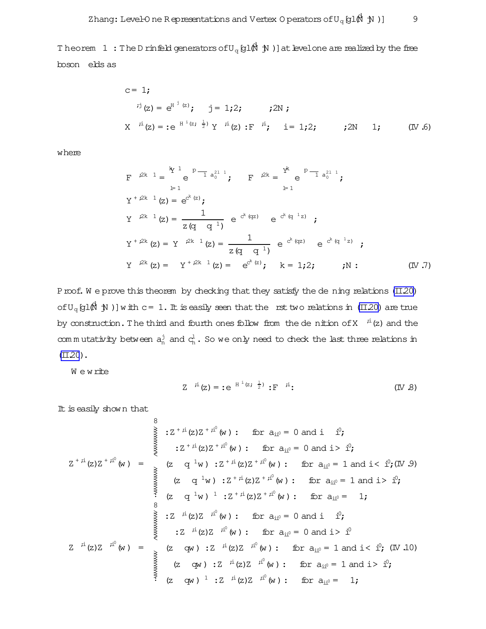<span id="page-9-0"></span>Theorem  $1\; :$  The D rinfeld generators of  $\mathrm{U}_q\mathop{\mathrm{gl}}\nolimits(\!\!\overrightarrow{N}\; \mathop{\mathrm{\mathcal{M}}}\nolimits)$  ) at levelone are realized by the free boson elds as

c = 1;  
\n
$$
{}^{i j}
$$
(z) = e<sup>H<sup>j</sup></sup> (z); j = 1;2; ; 2N;  
\nX  ${}^{i i}$ (z) = :e<sup>H<sup>i</sup></sup> (z;  $\frac{1}{2}$ ) Y  ${}^{i i}$ (z) :F  ${}^{i i}$ ; i = 1;2; ; 2N 1; (IV.6)

where

$$
F^{i2k} 1 = \n\begin{cases}\n\frac{k}{2} \cdot \frac{1}{2} + \frac{p-1}{2} a_0^{21} \cdot \frac{1}{2} \\
\frac{1}{2} \cdot \frac{1}{2} \\
\frac{1}{2} \cdot \frac{1}{2} \\
\frac{1}{2} \cdot \frac{1}{2} \\
\frac{1}{2} \cdot \frac{1}{2} \\
\frac{1}{2} \cdot \frac{1}{2} \\
\frac{1}{2} \cdot \frac{1}{2} \\
\frac{1}{2} \cdot \frac{1}{2} \\
\frac{1}{2} \cdot \frac{1}{2} \\
\frac{1}{2} \cdot \frac{1}{2} \\
\frac{1}{2} \cdot \frac{1}{2} \\
\frac{1}{2} \cdot \frac{1}{2} \\
\frac{1}{2} \cdot \frac{1}{2} \\
\frac{1}{2} \cdot \frac{1}{2} \\
\frac{1}{2} \cdot \frac{1}{2} \\
\frac{1}{2} \cdot \frac{1}{2} \\
\frac{1}{2} \cdot \frac{1}{2} \\
\frac{1}{2} \cdot \frac{1}{2} \\
\frac{1}{2} \cdot \frac{1}{2} \\
\frac{1}{2} \cdot \frac{1}{2} \\
\frac{1}{2} \cdot \frac{1}{2} \\
\frac{1}{2} \cdot \frac{1}{2} \\
\frac{1}{2} \cdot \frac{1}{2} \\
\frac{1}{2} \cdot \frac{1}{2} \\
\frac{1}{2} \cdot \frac{1}{2} \\
\frac{1}{2} \cdot \frac{1}{2} \\
\frac{1}{2} \cdot \frac{1}{2} \\
\frac{1}{2} \cdot \frac{1}{2} \\
\frac{1}{2} \cdot \frac{1}{2} \\
\frac{1}{2} \cdot \frac{1}{2} \\
\frac{1}{2} \cdot \frac{1}{2} \\
\frac{1}{2} \cdot \frac{1}{2} \\
\frac{1}{2} \cdot \frac{1}{2} \\
\frac{1}{2} \cdot \frac{1}{2} \\
\frac{1}{2} \cdot \frac{1}{2} \\
\frac{1}{2} \cdot \frac{1}{2} \\
\frac{1}{2} \cdot \frac{1}{2} \\
\frac{1}{2} \cdot \frac{1}{2} \\
\frac{1}{2} \cdot \frac{1}{2} \\
\frac{1}{2} \cdot \frac{1}{2} \\
\frac{1}{2} \cdot \frac{1}{2} \\
\frac{1}{2} \cdot \frac{1}{2} \\
\frac{
$$

Proof. We prove this theorem by checking that they satisfy the dening relations  $(II.20)$ of  $U_q$  (gl $(\!\!\!\!\beta\!\!\!\!\beta\!\!\!\!\!\gamma\!\!\!\!\beta\!\!\!\!\gamma\!\!\!\!\beta\!\!\!\!\gamma\!\!\!\!\beta\!\!\!\!\gamma\!\!\!\!\beta\!\!\!\!\gamma\!\!\!\!\beta\!\!\!\!\gamma\!\!\!\!\beta\!\!\!\!\gamma\!\!\!\!\beta\!\!\!\!\gamma\!\!\!\!\gamma\!\!\!\!\beta\!\!\!\gamma\!\!\!\!\gamma\!\!\!\!\beta\!\!\!\!\gamma\!\!\!\!\beta\!\!\!\!\gamma\!\!\!\!\beta\!\!\!\!\gamma\!\!\!\!\gamma\!\!\!\!\beta\!\!\!\!\gamma\!\!\!\!\beta\!\!\!\!\gamma\!\!\!\!\beta\!\!\!\!\gamma\!\!\!\!\$ by construction. The third and fourth ones follow from the de nition of X  $\quad$   $\rm \ddot{\it i}$  (z) and the commutativity between  $a_n^j$  and  $c_n^l$ . So we only need to check the last three relations in  $(TL20)$ .

W e write

$$
Z^{-\frac{1}{r}\mathfrak{l}}(z) = :e^{-H^{\frac{1}{r}(z)}\frac{1}{z}} :F^{-\frac{1}{r}\mathfrak{l}}:
$$
 (IV.8)

It is easily shown that

 $\circ$ 

$$
Z^{+ji}(z)Z^{+ji^0}(w) := \n\begin{cases}\n\sum_{i=1}^{n} (z)Z^{+ji^0}(w) : \text{ for } a_{ii^0} = 0 \text{ and } i \quad i^0; \\
\sum_{i=1}^{n} (z)Z^{+ji^0}(w) = \n\end{cases}
$$
\n
$$
Z^{+ji}(z)Z^{+ji^0}(w) = \n\begin{cases}\n(z - q^{-1}w) : Z^{+ji}(z)Z^{+ji^0}(w) : \text{ for } a_{ii^0} = 1 \text{ and } i < i^0; (\mathbb{N}.9) \\
(z - q^{-1}w) : Z^{+ji}(z)Z^{+ji^0}(w) : \text{ for } a_{ii^0} = 1 \text{ and } i > i^0; \\
(z - q^{-1}w) : Z^{+ji}(z)Z^{+ji^0}(w) : \text{ for } a_{ii^0} = 1; \\
\vdots \\
\sum_{i=1}^{n} (z)Z^{-ji^0}(w) : \text{ for } a_{ii^0} = 0 \text{ and } i > i^0; \\
\vdots \\
\sum_{i=1}^{n} (z)Z^{-ji^0}(w) : Z^{-ji}(z)Z^{-ji^0}(w) : \text{ for } a_{ii^0} = 1 \text{ and } i < i^0; (\mathbb{N}.10) \\
(z - qw) : Z^{-ji}(z)Z^{-ji^0}(w) : \text{ for } a_{ii^0} = 1 \text{ and } i > i^0; \\
\vdots \\
(z - qw) : Z^{-ji}(z)Z^{-ji^0}(w) : \text{ for } a_{ii^0} = 1 \text{ and } i > i^0; \\
(z - qw) : Z^{-ji}(z)Z^{-ji^0}(w) : \text{ for } a_{ii^0} = 1;\n\end{cases}
$$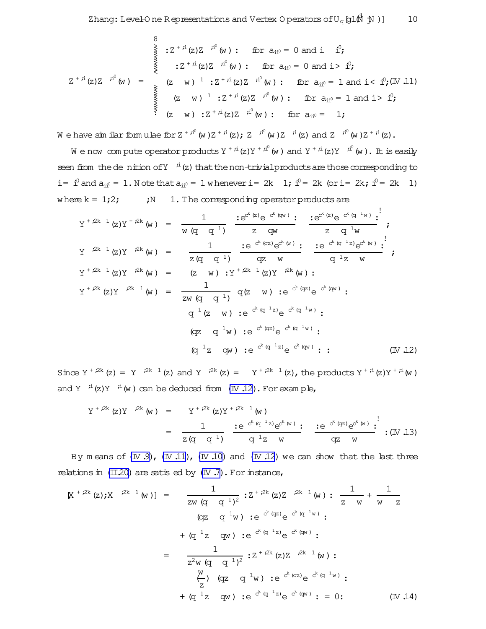$$
Z^{+ji}(z)Z^{-ji^0}(w) : \text{ for } a_{ii^0} = 0 \text{ and } i^{0};
$$
\n
$$
Z^{+ji}(z)Z^{-ji^0}(w) : \text{ for } a_{ii^0} = 0 \text{ and } i > i^{0};
$$
\n
$$
Z^{+ji}(z)Z^{-ji^0}(w) = \begin{cases} (z-w)^{-1} : Z^{+ji}(z)Z^{-ji^0}(w) : \text{ for } a_{ii^0} = 1 \text{ and } i < i^{0}; (IV, 11) \\ (z-w)^{-1} : Z^{+ji}(z)Z^{-ji^0}(w) : \text{ for } a_{ii^0} = 1 \text{ and } i > i^{0}; \\ (z-w) : Z^{+ji}(z)Z^{-ji^0}(w) : \text{ for } a_{ii^0} = 1; \end{cases}
$$

We have simular formulae for  $Z^{+}i^{0}(w)Z^{+}i^{1}(z)$ ;  $Z^{-}i^{0}(w)Z^{-}i^{1}(z)$  and  $Z^{-}i^{0}(w)Z^{+}i^{1}(z)$ .

We now compute operator products  $Y^{+i\dot{i}}(z)Y^{+i\dot{i}}(w)$  and  $Y^{+i\dot{i}}(z)Y^{-i\dot{i}}(w)$ . It is easily seen from the de nition of  $Y$ <sup>i</sup> (z) that the non-trivial products are those corresponding to i=  $i^0$  and  $a_{ii^0}$  = 1. N ote that  $a_{ii^0}$  = 1 w henever i = 2k 1;  $i^0$  = 2k (or i = 2k;  $i^0$  = 2k 1) where  $k = 1,2$ ;  $iN = 1$ . The corresponding operator products are

$$
Y^{+,2k} (z)Y^{+,2k} (w) = \frac{1}{w (q q^{-1})} \underbrace{:=e^{c^{k} (z)} e^{-c^{k} (qv)}}_{=z (qw)} : \underbrace{:=e^{c^{k} (z)} e^{-c^{k} (q^{-1} w)} :}_{=z (q^{-1} w)};
$$
\n
$$
Y^{+,2k} (z)Y^{,2k} (w) = \frac{1}{z (q q^{-1})} \underbrace{:=e^{c^{k} (qz)} e^{c^{k} (w)} :}_{=z (q q^{-1})} \underbrace{:=e^{c^{k} (q^{-1}z)} e^{c^{k} (w)} :}_{=z (w) \cdot Y^{+,2k} (z)Y^{,2k} (w) :}
$$
\n
$$
Y^{+,2k} (z)Y^{,2k} (w) = \frac{1}{zw (q q^{-1})} q(z w) :e^{c^{k} (qz)} e^{-c^{k} (qw)} :
$$
\n
$$
q^{-1} (z w) :e^{c^{k} (q^{-1}z)} e^{-c^{k} (q^{-1}w)} :
$$
\n
$$
(qz q^{-1}w) :e^{c^{k} (q^{-1}z)} e^{-c^{k} (q^{-1}w)} :
$$
\n
$$
(q^{-1}z qw) :e^{c^{k} (q^{-1}z)} e^{-c^{k} (qw)} :
$$
\n
$$
(IV 12)
$$

Since  $Y^{+i2k}(z) = Y^{i2k-1}(z)$  and  $Y^{i2k}(z) = Y^{+i2k-1}(z)$ , the products  $Y^{+i}(z)Y^{+i}(w)$ and Y  $i^i(z)Y$   $i^i(w)$  can be deduced from (IV 12). For example,

$$
Y^{+2k} (z) Y^{-2k} (w) = Y^{+2k} (z) Y^{+2k} (w)
$$
  

$$
= \frac{1}{z (q - q^{-1})} \frac{e^{-e^{k} (q^{-1} z)} e^{e^{k} (w)}}{q^{-1} z - w} \frac{e^{-e^{k} (q z)} e^{e^{k} (w)}}{q z - w} \cdot (W . 13)
$$

By means of  $(W.9)$ ,  $(W.11)$ ,  $(W.10)$  and  $(W.12)$  we can show that the last three relations in  $(II.20)$  are satis ed by  $(IV.7)$ . For instance,

$$
[\mathbf{X}^{+2k}(\mathbf{z})\mathbf{y} \mathbf{X}^{-2k-1}(\mathbf{w})] = \frac{1}{z\mathbf{w} (q q 1)^2} \mathbf{i} \mathbf{Z}^{+2k}(\mathbf{z}) \mathbf{Z}^{-2k-1}(\mathbf{w}) \mathbf{i} \frac{1}{z\mathbf{w}} + \frac{1}{\mathbf{w} z}
$$
  
\n
$$
(\mathbf{q}z \mathbf{q}^{-1}\mathbf{w}) \mathbf{i} e^{c^k (q z)} e^{c^k (q^{-1} \mathbf{w})} \mathbf{i}
$$
  
\n
$$
+ (\mathbf{q}^{-1}z \mathbf{q}\mathbf{w}) \mathbf{i} e^{c^k (q z)} e^{c^k (q \mathbf{w})} \mathbf{i}
$$
  
\n
$$
= \frac{1}{z^2 \mathbf{w} (q q 1)^2} \mathbf{i} \mathbf{Z}^{+2k}(\mathbf{z}) \mathbf{Z}^{-2k-1}(\mathbf{w}) \mathbf{i}
$$
  
\n
$$
+ (\mathbf{q}^{-1}z \mathbf{q}\mathbf{w}) \mathbf{i} e^{c^k (q z)} e^{c^k (q^{-1} \mathbf{w})} \mathbf{i}
$$
  
\n
$$
+ (\mathbf{q}^{-1}z \mathbf{q}\mathbf{w}) \mathbf{i} e^{c^k (q^{-1}z)} e^{c^k (q \mathbf{w})} \mathbf{i} = 0 \mathbf{i}
$$
  
\n
$$
(\mathbf{I} \mathbf{V} \mathbf{I} \mathbf{A})
$$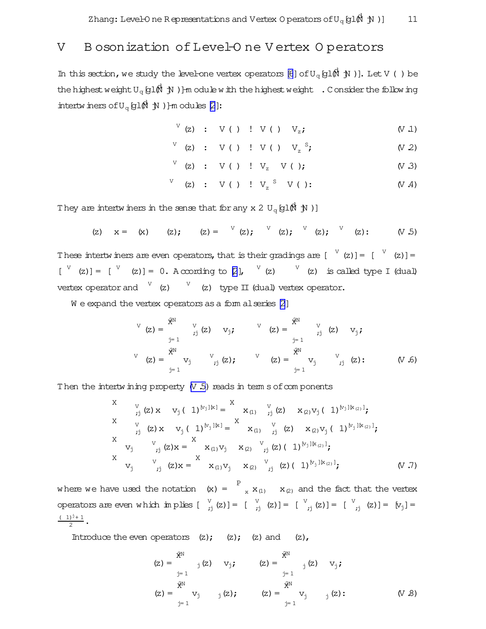### <span id="page-11-0"></span>V B osonization of Level-O ne V ertex O perators

In this section, we study the level-one vertex operators [\[6](#page-15-0)] of  $U_q$  [g1 $\stackrel{\triangle}{M}$   $\stackrel{\triangle}{N}$  )]. Let V ( ) be the highest weight U<sub>q</sub> [gl(N  $\,$  jN )]-m odule with the highest weight  $\,$  . Consider the following intertwiners of  $U_q$  (gl $(\stackrel{\bullet}{N} \cdot )$ ) ]-m odules [\[2](#page-15-0)]:

$$
V(z) : V( ) \cup V( ) \cup V_z; \qquad (V.1)
$$

$$
V (z) : V (x) : V (x) : V (x) : V z^2;
$$
 (V 2)

$$
V (z) : V (x) : V_z (y); \t\t (x, 3)
$$

$$
V (z) : V (x) : V_z S (y); \qquad (V A)
$$

They are intertwiners in the sense that for any x 2  $\mathrm{U}_q \hspace{0.25mm}$  U $_q$   $\hspace{0.1mm}$  (H)  $\hspace{0.1mm}$  (H)  $\hspace{0.1mm}$ 

$$
(z) \quad x = (x) \quad (z); \quad (z) = \n\begin{bmatrix} 0 \\ 0 \\ 0 \end{bmatrix}; \quad (z) = \n\begin{bmatrix} 0 \\ 0 \\ 0 \end{bmatrix}; \quad (z) = \n\begin{bmatrix} 0 \\ 0 \\ 0 \end{bmatrix}; \quad (z) = \n\begin{bmatrix} 0 \\ 0 \\ 0 \end{bmatrix}; \quad (z) = \n\begin{bmatrix} 0 \\ 0 \\ 0 \end{bmatrix}; \quad (z) = \n\begin{bmatrix} 0 \\ 0 \\ 0 \end{bmatrix}; \quad (z) = \n\begin{bmatrix} 0 \\ 0 \\ 0 \end{bmatrix}; \quad (z) = \n\begin{bmatrix} 0 \\ 0 \\ 0 \end{bmatrix}; \quad (z) = \n\begin{bmatrix} 0 \\ 0 \\ 0 \end{bmatrix}; \quad (z) = \n\begin{bmatrix} 0 \\ 0 \\ 0 \end{bmatrix}; \quad (z) = \n\begin{bmatrix} 0 \\ 0 \\ 0 \end{bmatrix}; \quad (z) = \n\begin{bmatrix} 0 \\ 0 \\ 0 \end{bmatrix}; \quad (z) = \n\begin{bmatrix} 0 \\ 0 \\ 0 \end{bmatrix}; \quad (z) = \n\begin{bmatrix} 0 \\ 0 \\ 0 \end{bmatrix}; \quad (z) = \n\begin{bmatrix} 0 \\ 0 \\ 0 \end{bmatrix}; \quad (z) = \n\begin{bmatrix} 0 \\ 0 \\ 0 \end{bmatrix}; \quad (z) = \n\begin{bmatrix} 0 \\ 0 \\ 0 \end{bmatrix}; \quad (z) = \n\begin{bmatrix} 0 \\ 0 \\ 0 \end{bmatrix}; \quad (z) = \n\begin{bmatrix} 0 \\ 0 \\ 0 \end{bmatrix}; \quad (z) = \n\begin{bmatrix} 0 \\ 0 \\ 0 \end{bmatrix}; \quad (z) = \n\begin{bmatrix} 0 \\ 0 \\ 0 \end{bmatrix}; \quad (z) = \n\begin{bmatrix} 0 \\ 0 \\ 0 \end{bmatrix}; \quad (z) = \n\begin{bmatrix} 0 \\ 0 \\ 0 \end{bmatrix}; \quad (z) = \n\begin{bmatrix} 0 \\ 0 \\ 0 \end{bmatrix}; \quad (z) = \n\begin{bmatrix} 0 \\ 0 \\ 0 \end{bmatrix}; \quad (z) = \n\begin{bmatrix} 0 \\ 0 \\ 0 \end{bmatrix}; \quad (z) = \n\begin{bmatrix} 0 \\
$$

These intertwiners are even operators, that is their gradings are  $\begin{bmatrix}V(z)\end{bmatrix}=\begin{bmatrix}V(z)\end{bmatrix}$  $[V (z)] = [V (z)] = 0$ . A ccording to [\[2](#page-15-0)],  $V (z)$   $V (z)$  is called type I (dual) vertex operator and  $\begin{pmatrix} 0 & 0 \end{pmatrix}$  (z) type II (dual) vertex operator.

 $W$  e expand the vertex operators as a form alseries  $[2]$ 

$$
V (z) = \begin{cases} \hat{x}^{N} & V \\ \hat{y}^{N} & z^{N} \end{cases} (z) \quad V_{j}; \qquad V (z) = \begin{cases} \hat{x}^{N} & V \\ \hat{y}^{N} & z^{N} \end{cases} (z) \quad V_{j};
$$
\n
$$
V (z) = \begin{cases} \hat{x}^{N} & V \\ \hat{y}^{N} & z^{N} \end{cases} (z) = \begin{cases} \hat{x}^{N} & V \\ \hat{y}^{N} & z^{N} \end{cases} (z) = \begin{cases} \hat{x}^{N} & V \\ \hat{y}^{N} & z^{N} \end{cases} (z) = \begin{cases} \hat{y}^{N} & V \\ \hat{y}^{N} & z^{N} \end{cases} (z) = \begin{cases} \hat{y}^{N} & V \\ \hat{y}^{N} & z^{N} \end{cases} (z) = \begin{cases} \hat{y}^{N} & V \\ \hat{y}^{N} & z^{N} \end{cases} (z) = \begin{cases} \hat{y}^{N} & V \\ \hat{y}^{N} & z^{N} \end{cases} (z) = \begin{cases} \hat{y}^{N} & V \\ \hat{y}^{N} & z^{N} \end{cases} (z) = \begin{cases} \hat{y}^{N} & V \\ \hat{y}^{N} & z^{N} \end{cases} (z) = \begin{cases} \hat{y}^{N} & V \\ \hat{y}^{N} & z^{N} \end{cases} (z) = \begin{cases} \hat{y}^{N} & V \\ \hat{y}^{N} & z^{N} \end{cases} (z) = \begin{cases} \hat{y}^{N} & V \\ \hat{y}^{N} & z^{N} \end{cases} (z) = \begin{cases} \hat{y}^{N} & V \\ \hat{y}^{N} & z^{N} \end{cases} (z) = \begin{cases} \hat{y}^{N} & V \\ \hat{y}^{N} & z^{N} \end{cases} (z) = \begin{cases} \hat{y}^{N} & V \\ \hat{y}^{N} & z^{N} \end{cases} (z) = \begin{cases} \hat{y}^{N} & V \\ \hat{y}^{N} & z^{N} \end{cases} (z) = \begin{cases} \hat{y}^{N} & V \\ \hat{y}^{N} & z^{N} \end{cases} (z) = \begin{cases
$$

Then the intertwining property  $(V, 5)$  reads in term s of components

X  
\n
$$
V_{j} (z) x v_{j} (1)^{[v_{j}][k]} = X_{x_{(1)} \tbinom{V}{j} (z) x_{(2)} v_{j} (1)^{[v_{j}][k]}}
$$
\nX  
\n
$$
V_{j} (z) x v_{j} (1)^{[v_{j}][k]} = X_{x_{(1)} \tbinom{V}{j} (z) x_{(2)} v_{j} (1)^{[v_{j}][k]}
$$
\nX  
\n
$$
V_{j} \tbinom{V}{j} (z) x = X_{(1)} v_{j} x_{(2)} \tbinom{V}{j} (z) (1)^{[v_{j}][k]}
$$
\nX  
\n
$$
V_{j} \tbinom{V}{j} (z) x = X_{(1)} v_{j} x_{(2)} \tbinom{V}{j} (z) (1)^{[v_{j}][k]}
$$
\n(Y.7)

where we have used the notation  $(x) = \begin{bmatrix} P \\ x \end{bmatrix}$   $x_{(1)}$   $x_{(2)}$  and the fact that the vertex operators are even which implies  $\begin{bmatrix} v \\ v_j \end{bmatrix}$  (z)] =  $\begin{bmatrix} v \\ v_j \end{bmatrix}$  (z)] =  $\begin{bmatrix} v \\ v_j \end{bmatrix}$  (z)] =  $\begin{bmatrix} v \\ v_j \end{bmatrix}$  =  $(1)^{j}+1$  $\frac{1}{2}$ .

Introduce the even operators  $(z)$ ;  $(z)$ ;  $(z)$  and  $(z)$ ,

$$
(z) = \begin{cases} \hat{x}^{N} \\ \hat{y}^{N} \end{cases} (z) \quad v_{j}; \qquad (z) = \begin{cases} \hat{x}^{N} \\ \hat{y}^{N} \end{cases} (z) \quad v_{j};
$$
  
\n
$$
(z) = \begin{cases} \hat{x}^{N} \\ \hat{y}^{N} \\ \hat{y}^{N} \end{cases} (z); \qquad (z) = \begin{cases} \hat{x}^{N} \\ \hat{y}^{N} \\ \hat{y}^{N} \end{cases} (z); \qquad (V.8)
$$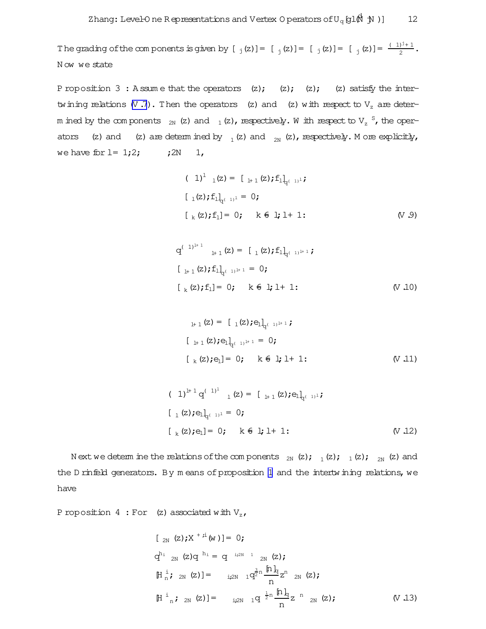<span id="page-12-0"></span>The grading of the components is given by  $[\,\,j(z)]=[\,\,j(z)]=[\,\,j(z)]=[\,\,j(z)]=\frac{(-1)^{j}+1}{2}$ . N ow we state

P roposition 3: A ssum e that the operators  $(z)$ ;  $(z)$ ;  $(z)$ ;  $(z)$  satisfy the intertwining relations  $(V, 7)$ . Then the operators (z) and (z) with respect to  $V_z$  are determ ined by the components  $\,$   $_{\rm 2N}$  (z) and  $\,$   $_{\rm 1}$  (z), respectively. W ith respect to V  $_{\rm z}$   $^{\rm S}$ , the operators (z) and (z) are determ ined by  $_1$  (z) and  $_{2N}$  (z), respectively. M ore explicitly, we have for  $l = 1;2;$   $j2N \t1,$ 

$$
(1)^{1} {}_{1}(z) = [{}_{1+1}(z); f_{1}]_{q^{(-1)^{1}}};
$$
  
\n
$$
[{}_{1}(z); f_{1}]_{q^{(-1)^{1}}} = 0;
$$
  
\n
$$
[{}_{k}(z); f_{1}] = 0; \quad k \in 1; 1+1;
$$
  
\n
$$
(V.9)
$$

$$
q^{(-1)^{l+1}} \quad {}_{l+1}(z) = [{}_{l}(z); f_1]_{q^{(-1)^{l+1}}};
$$
  
\n
$$
[{}_{l+1}(z); f_1]_{q^{(-1)^{l+1}}} = 0;
$$
  
\n
$$
[{}_{k}(z); f_1] = 0; \quad k \in l; l+1;
$$
  
\n
$$
(V, 10)
$$

$$
{}_{\mu_1}(z) = [{}_{1}(z); e_1]_{q^{(-1)^{1+1}}};
$$
  

$$
[{}_{\mu_1}(z); e_1]_{q^{(-1)^{1+1}}} = 0;
$$
  

$$
[{}_{k}(z); e_1] = 0; \quad k \in 1; 1 + 1;
$$
 (V.11)

$$
(1)^{l+1} q^{(1)^{l}} \n1 (z) = [\n1_{l+1} (z); e_{l}]_{q^{(1)^{l}}};
$$
\n
$$
[\n1 (z); e_{l}]_{q^{(1)^{l}}} = 0;
$$
\n
$$
[\n1 (z); e_{l}] = 0; \n1 (z; 1) + 1;
$$
\n
$$
(V.12)
$$

N ext we determ ine the relations of the components  $_{2N}$  (z);  $_{1}$ (z);  $_{1}$ (z);  $_{2N}$  (z) and the D rinfeld generators. By m eans of proposition [1](#page-5-0) and the intertwining relations, we have

P roposition 4 : For (z) associated with  $V_{z}$ ,

$$
[2_{N} (z); X^{+2} (w)] = 0;
$$
  
\n
$$
q^{h_{i}} 2_{N} (z) q^{h_{i}} = q^{i_{i2N} - 1} 2_{N} (z);
$$
  
\n
$$
[H_{n}^{i}; 2_{N} (z)] = i_{i2N} 1 q^{\frac{3}{2}n} \frac{[h]_q}{n} z^{n} 2_{N} (z);
$$
  
\n
$$
[H_{n}^{i}; 2_{N} (z)] = i_{i2N} 1 q^{\frac{1}{2}n} \frac{[h]_q}{n} z^{n} 2_{N} (z); \qquad (V.13)
$$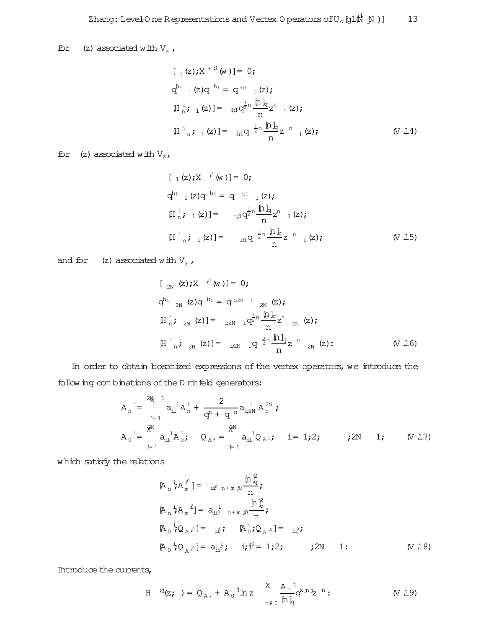for (z) associated with  $V_z$ ,

$$
[\,1 (z); X^{+i} (w)] = 0;
$$
\n
$$
q^{h_1} [1 (z)q^{h_1} = q^{i_1} [1 (z);
$$
\n
$$
[H_n^i; 1 (z)] = i_{i1} q^{i n} \frac{[h]_q}{n} z^n \frac{[1 (z);}{n}
$$
\n
$$
[H_n^i; 1 (z)] = i_{i1} q^{i n} \frac{[h]_q}{n} z^{n} \frac{[1 (z);}{n}
$$
\n
$$
(V, 14)
$$

for (z) associated with  $V_z$ ,

$$
[1 (z); X \stackrel{\text{i}}{\sim} (w)] = 0;
$$
  
\n
$$
q^{h_1} [1 (z)q^{h_1} = q^{i_1 1} [1 (z);
$$
  
\n
$$
[H_n^{\text{i}}; 1 (z)] = i_1 q^{\frac{1}{2}n} \frac{[h]_q}{n} z^n 1 (z);
$$
  
\n
$$
[H_n^{\text{i}}; 1 (z)] = i_1 q^{\frac{3}{2}n} \frac{[h]_q}{n} z^{n} 1 (z); \qquad (V 15)
$$

and for (z) associated with  $V_z$ ,

$$
[2_{N} (z); X \stackrel{i}{\sim} (w)] = 0;
$$
  
\n
$$
q^{h_{i}} \frac{2_{N} (z)q^{h_{i}}}{2^{N}} = q^{i_{i2N} - 1} \frac{2_{N} (z)}{2^{N}};
$$
  
\n
$$
[H_{n}^{i}; 2_{N} (z)] = i_{i2N} 1 q^{\frac{1}{2}n} \frac{[h]_q}{n} z^{n} 2_{N} (z);
$$
  
\n
$$
[H_{n}^{i}; 2_{N} (z)] = i_{i2N} 1 q^{\frac{3}{2}n} \frac{[h]_q}{n} z^{n} 2_{N} (z); \qquad (V 16)
$$

In order to obtain bosonized expressions of the vertex operators, we introduce the following com binations of the D rinfeld generators:

$$
A_{n} = \sum_{l=1}^{2N} a_{il}^{1} A_{n}^{1} + \frac{2}{q^{n} + q^{n}} a_{il}^{1} A_{n}^{2N} ;
$$
  
\n
$$
A_{0} = \sum_{l=1}^{2N} a_{il}^{1} A_{0}^{1} ; \quad Q_{A} = \sum_{l=1}^{2N} a_{il}^{1} Q_{A}^{1} ; \quad i = 1; 2; \quad ; 2N \quad 1; \quad (V.17)
$$

which satisfy the relations

$$
[\mathbf{A}_{n}^{\mathbf{i}} \mathbf{A}_{m}^{\mathbf{i}^0}] = \mathbf{i} \mathbf{i}^0 \mathbf{n} + \mathbf{m} \mathbf{j}^0 \frac{\mathbf{p} \mathbf{i}_{\mathbf{j}}^2}{n};
$$
\n
$$
[\mathbf{A}_{n}^{\mathbf{i}} \mathbf{A}_{m}^{\mathbf{i}}] = \mathbf{a}_{\mathbf{i} \mathbf{i}^0} \mathbf{n} + \mathbf{m} \mathbf{j}^0 \frac{\mathbf{p} \mathbf{i}_{\mathbf{j}}^2}{n};
$$
\n
$$
[\mathbf{A}_{0}^{\mathbf{i}} \mathbf{j} \mathbf{Q}_{\mathbf{A}^{\mathbf{i}^0}}] = \mathbf{i} \mathbf{i}^0; \quad [\mathbf{A}_{0}^{\mathbf{i}} \mathbf{j} \mathbf{Q}_{\mathbf{A}^{\mathbf{i}^0}}] = \mathbf{i} \mathbf{i}^0;
$$
\n
$$
[\mathbf{A}_{0}^{\mathbf{i}} \mathbf{j} \mathbf{Q}_{\mathbf{A}^{\mathbf{i}^0}}] = \mathbf{a}_{\mathbf{i} \mathbf{i}^0}; \quad \mathbf{i} \mathbf{j}^0 = 1; 2; \quad \mathbf{j} \mathbf{2N} \quad 1; \quad (\mathbf{V} \mathbf{18})
$$

Introduce the currents,

H 
$$
{}^{i j}(z; ) = Q_{A^{j}} + A_{0} {}^{j}h z
$$
  $\frac{X}{h} \frac{A_{n} {}^{j}}{h}_{q} q^{k} h^{j} z^{n}$  (V.19)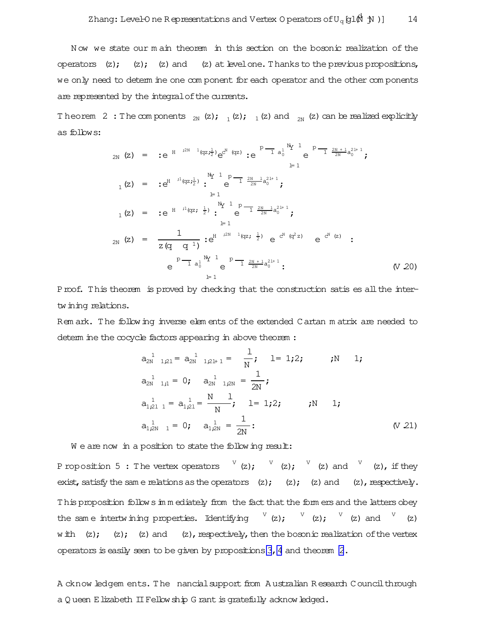N ow we state our m ain theorem in this section on the bosonic realization of the operators  $(z)$ ;  $(z)$ ;  $(z)$  and  $(z)$  at level one. Thanks to the previous propositions, we only need to determ ine one com ponent for each operator and the other com ponents are represented by the integral of the currents.

Theorem 2: The components  $_{2N}$  (z);  $_{1}$  (z);  $_{1}$  (z) and  $_{2N}$  (z) can be realized explicitly as follows:

$$
{}_{2N}(z) = :e^{H^{j2N-1}(qz;\frac{1}{2})}e^{x^{N}(qz)} :e^{P^{-}^{-}^{-}^{-}a_{0}^{1}}e^{P^{-}^{-}^{-}2N+1}a_{0}^{21+1};
$$
\n
$$
{}_{1}(z) = :e^{H^{j1}(qz;\frac{1}{2})} :e^{M_{Y}^{-}^{-}^{-}P^{-}^{-}2N-1}a_{0}^{21+1};
$$
\n
$$
{}_{1}(z) = :e^{H^{j1}(qz;\frac{1}{2})} :e^{M_{Y}^{-}^{-}^{-}P^{-}^{-}2N-1}a_{0}^{21+1};
$$
\n
$$
{}_{1}(z) = :e^{H^{j1}(qz;\frac{1}{2})} :e^{M_{Y}^{-}^{-}^{-}P^{-}^{-}2N-1}a_{0}^{21+1};
$$
\n
$$
{}_{2N}(z) = \frac{1}{z(q;q^{-}^{-}^{-}C^{N})} :e^{H^{j2N-1}(qz;\frac{1}{2})}e^{C^{N}(q^{2}z)}e^{C^{N}(z)} :e^{C^{N}(z)} :e^{P^{-}^{-}^{-}a_{0}^{1}}e^{P^{-}^{-}^{-}2N+1}a_{0}^{21+1};
$$
\n
$$
{}_{1}^{p} = 1
$$
\n
$$
{}_{1}^{p} = 1
$$
\n
$$
(V 20)
$$

Proof. This theorem is proved by checking that the construction satis es all the intertwining relations.

Rem ark. The following inverse elem ents of the extended Cartan m atrix are needed to determ ine the cocycle factors appearing in above theorem :

$$
a_{2N}^{1} \t_{1,21} = a_{2N}^{1} \t_{1,21+1} = \frac{1}{N}; \t 1 = 1,2; \t ; N \t 1;
$$
  
\n
$$
a_{2N}^{1} \t_{1,1} = 0; \t a_{2N}^{1} \t_{1,2N} = \frac{1}{2N};
$$
  
\n
$$
a_{1,21}^{1} \t_{1} = a_{1,21}^{1} = \frac{N}{N} \t_{1}^{1}; \t 1 = 1,2; \t ; N \t 1;
$$
  
\n
$$
a_{1,2N}^{1} \t_{1} = 0; \t a_{1,2N}^{1} = \frac{1}{2N}; \t (V 21)
$$

We are now in a position to state the following result:

Proposition 5 : The vertex operators  $\quad$   $\rm{V}$  (z);  $\quad$   $\rm{V}$  (z) and  $\quad$   $\rm{V}$  (z), if they exist, satisfy the same relations as the operators  $(z)$ ;  $(z)$ ;  $(z)$  and  $(z)$ , respectively. This proposition follows in m ediately from the fact that the form ers and the latters obey the same intertwining properties. Identifying  $V(z)$ ;  $V(z)$ ;  $V(z)$  and  $V(z)$ with  $(z)$ ;  $(z)$ ;  $(z)$  and  $(z)$ , respectively, then the bosonic realization of the vertex operators is easily seen to be given by propositions  $3$ ,  $4$  and theorem  $2$ .

A cknow ledgem ents. The nancialsupport from A ustralian R esearch Councilthrough a O ueen E lizabeth II Fellow ship G rant is gratefully acknowledged.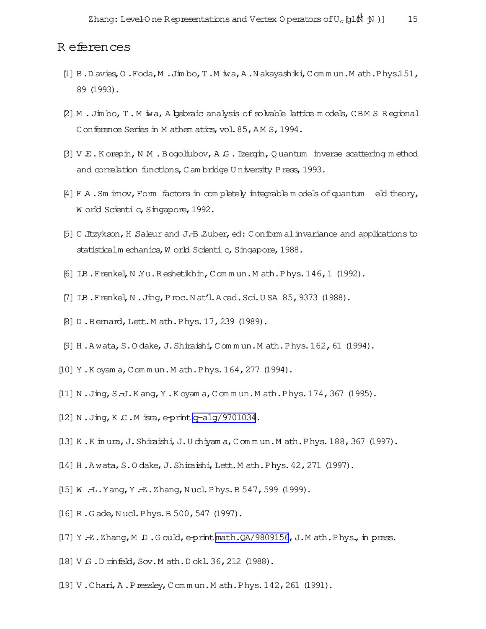### <span id="page-15-0"></span>R eferences

- [1] B.D avies,O .Foda,M .Jim bo,T.M iwa,A .N akayashiki,Com m un.M ath.Phys.151, 89 (1993).
- [2] M .Jim bo,T.M iwa,Algebraic analysis of solvable lattice m odels,CBM S R egional Conference Series in M athem atics, vol. 85, AM S, 1994.
- $[3]$  V  $E$ . K orepin, N  $M$  . B ogoliubov, A  $G$ . Izergin, Q uantum inverse scattering m ethod and correlation functions, C am bridge U niversity Press, 1993.
- $[4]$  F A. Sm imov, Form factors in completely integrable models of quantum eld theory, W orld Scienti c, Singapore, 1992.
- [5] C.Itzykson,H .Saleur and J.-B.Zuber,ed: Conform alinvariance and applications to statisticalm echanics, W orld Scienti c, Singapore, 1988.
- [6] I.B.Frenkel,N .Yu.R eshetikhin,Com m un.M ath.Phys.146,1 (1992).
- [7] IB. Frenkel, N. Jing, Proc. Nat'l. A cad. Sci. U SA 85, 9373 (1988).
- [8] D. Bemard, Lett. M ath. Phys. 17, 239 (1989).
- $[9]$  H. A wata, S.O dake, J. Shiraishi, Commun.M ath. Phys. 162, 61 (1994).
- [10] Y.K oyam a, Commun.Math.Phys.164, 277 (1994).
- [11] N .Jing,S.-J.K ang,Y .K oyam a,Com m un.M ath.Phys.174,367 (1995).
- $[12]$  N. Jing, K.C. M isra, e-print [q-alg/9701034](http://arxiv.org/abs/q-alg/9701034).
- [13] K .K im ura,J.Shiraishi,J.U chiyam a,Com m un.M ath.Phys.188,367 (1997).
- $[14]$  H. A wata, S.O dake, J. Shiraishi, Lett.M ath. Phys.  $42$ , 271  $(1997)$ .
- [15] W .-L. Yang, Y .-Z. Zhang, Nucl. Phys. B 547, 599 (1999).
- [16] R.G ade, Nucl. Phys. B 500, 547 (1997).
- $[17]$  Y .-Z.Zhang, M D.G ould, e-print[math.QA/9809156](http://arxiv.org/abs/math/9809156), J.M ath.Phys., in press.
- [18] V G .D rinfeld, Sov. M ath. D okl. 36, 212 (1988).
- [19] V.Chari, A.Pressley, Commun.Math.Phys.142,261 (1991).